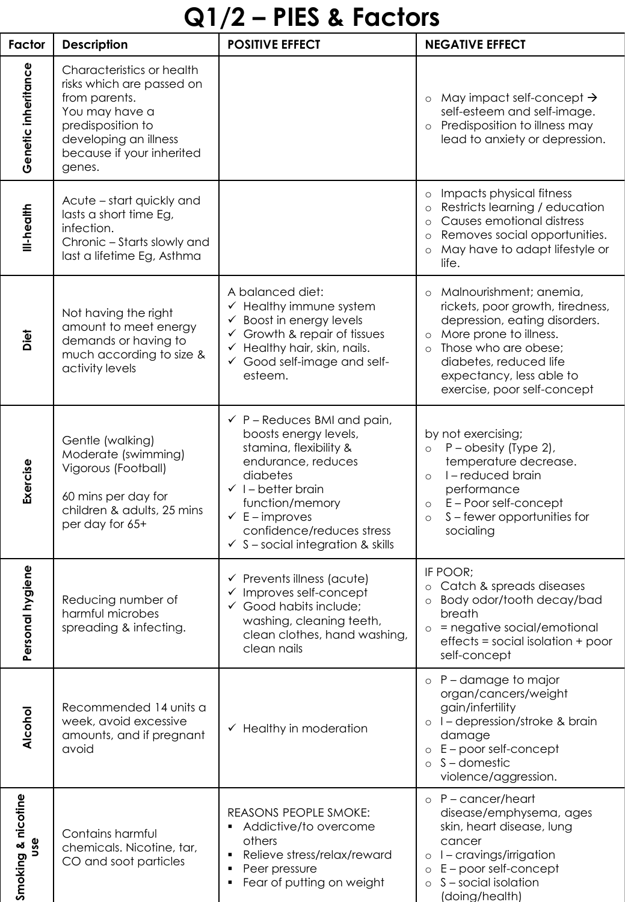## **Q1/2 – PIES & Factors**

| Factor                           | <b>Description</b>                                                                                                                                                             | <b>POSITIVE EFFECT</b>                                                                                                                                                                                                                                                                    | <b>NEGATIVE EFFECT</b>                                                                                                                                                                                                                                               |
|----------------------------------|--------------------------------------------------------------------------------------------------------------------------------------------------------------------------------|-------------------------------------------------------------------------------------------------------------------------------------------------------------------------------------------------------------------------------------------------------------------------------------------|----------------------------------------------------------------------------------------------------------------------------------------------------------------------------------------------------------------------------------------------------------------------|
| Genetic inheritance              | Characteristics or health<br>risks which are passed on<br>from parents.<br>You may have a<br>predisposition to<br>developing an illness<br>because if your inherited<br>genes. |                                                                                                                                                                                                                                                                                           | May impact self-concept $\rightarrow$<br>$\circ$<br>self-esteem and self-image.<br>Predisposition to illness may<br>$\circ$<br>lead to anxiety or depression.                                                                                                        |
| III-health                       | Acute – start quickly and<br>lasts a short time Eg,<br>infection.<br>Chronic - Starts slowly and<br>last a lifetime Eg, Asthma                                                 |                                                                                                                                                                                                                                                                                           | Impacts physical fitness<br>$\circ$<br>Restricts learning / education<br>$\circ$<br>Causes emotional distress<br>$\Omega$<br>Removes social opportunities.<br>$\circ$<br>May have to adapt lifestyle or<br>life.                                                     |
| Diet                             | Not having the right<br>amount to meet energy<br>demands or having to<br>much according to size &<br>activity levels                                                           | A balanced diet:<br>Healthy immune system<br>Boost in energy levels<br>✓<br>Growth & repair of tissues<br>✓<br>Healthy hair, skin, nails.<br>✓<br>Good self-image and self-<br>esteem.                                                                                                    | Malnourishment; anemia,<br>$\circ$<br>rickets, poor growth, tiredness,<br>depression, eating disorders.<br>More prone to illness.<br>$\circ$<br>Those who are obese;<br>$\circ$<br>diabetes, reduced life<br>expectancy, less able to<br>exercise, poor self-concept |
| Exercise                         | Gentle (walking)<br>Moderate (swimming)<br>Vigorous (Football)<br>60 mins per day for<br>children & adults, 25 mins<br>per day for 65+                                         | $\checkmark$ P – Reduces BMI and pain,<br>boosts energy levels,<br>stamina, flexibility &<br>endurance, reduces<br>diabetes<br>$\checkmark$ I – better brain<br>function/memory<br>$\checkmark$ E - improves<br>confidence/reduces stress<br>$\checkmark$ S - social integration & skills | by not exercising;<br>$P$ – obesity (Type 2),<br>$\circ$<br>temperature decrease.<br>I-reduced brain<br>$\circ$<br>performance<br>E-Poor self-concept<br>$\circ$<br>S-fewer opportunities for<br>$\circ$<br>socialing                                                |
| Personal hygiene                 | Reducing number of<br>harmful microbes<br>spreading & infecting.                                                                                                               | $\checkmark$ Prevents illness (acute)<br>Improves self-concept<br>✓<br>$\checkmark$ Good habits include;<br>washing, cleaning teeth,<br>clean clothes, hand washing,<br>clean nails                                                                                                       | IF POOR;<br>Catch & spreads diseases<br>$\circ$<br>Body odor/tooth decay/bad<br>breath<br>= negative social/emotional<br>$\circ$<br>effects = social isolation + poor<br>self-concept                                                                                |
| Alcohol                          | Recommended 14 units a<br>week, avoid excessive<br>amounts, and if pregnant<br>avoid                                                                                           | $\checkmark$ Healthy in moderation                                                                                                                                                                                                                                                        | $\circ$ P – damage to major<br>organ/cancers/weight<br>gain/infertility<br>I-depression/stroke & brain<br>$\circ$<br>damage<br>E - poor self-concept<br>$S -$ domestic<br>violence/aggression.                                                                       |
| Smoking & nicotine<br><b>use</b> | Contains harmful<br>chemicals. Nicotine, tar,<br>CO and soot particles                                                                                                         | REASONS PEOPLE SMOKE:<br>Addictive/to overcome<br>others<br>Relieve stress/relax/reward<br>Peer pressure<br>٠<br>Fear of putting on weight                                                                                                                                                | $o$ P - cancer/heart<br>disease/emphysema, ages<br>skin, heart disease, lung<br>cancer<br>I-cravings/irrigation<br>$\circ$<br>E - poor self-concept<br>$\circ$<br>S-social isolation<br>$\circ$<br>(doing/health)                                                    |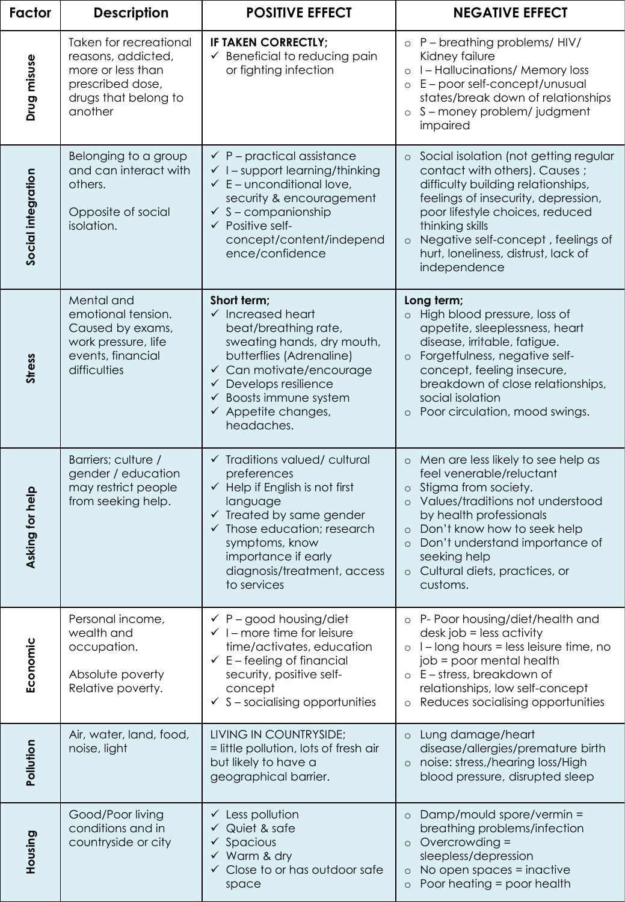| Factor             | <b>Description</b>                                                                                                              | <b>POSITIVE EFFECT</b>                                                                                                                                                                                                                                                                | <b>NEGATIVE EFFECT</b>                                                                                                                                                                                                                                                                                                        |
|--------------------|---------------------------------------------------------------------------------------------------------------------------------|---------------------------------------------------------------------------------------------------------------------------------------------------------------------------------------------------------------------------------------------------------------------------------------|-------------------------------------------------------------------------------------------------------------------------------------------------------------------------------------------------------------------------------------------------------------------------------------------------------------------------------|
| Drug misuse        | <b>Taken for recreational</b><br>reasons, addicted,<br>more or less than<br>prescribed dose,<br>drugs that belong to<br>another | IF TAKEN CORRECTLY;<br>$\checkmark$ Beneficial to reducing pain<br>or fighting infection                                                                                                                                                                                              | $\circ$ P – breathing problems/HIV/<br>Kidney failure<br>o I-Hallucinations/Memory loss<br>o E - poor self-concept/unusual<br>states/break down of relationships<br>S-money problem/judgment<br>$\circ$<br>impaired                                                                                                           |
| Social integration | Belonging to a group<br>and can interact with<br>others.<br>Opposite of social<br>isolation.                                    | $\checkmark$ P – practical assistance<br>$\checkmark$ I – support learning/thinking<br>$\checkmark$ E – unconditional love,<br>security & encouragement<br>$\checkmark$ S - companionship<br>$\checkmark$ Positive self-<br>concept/content/independ<br>ence/confidence               | Social isolation (not getting regular<br>$\circ$<br>contact with others). Causes ;<br>difficulty building relationships,<br>feelings of insecurity, depression,<br>poor lifestyle choices, reduced<br>thinking skills<br>Negative self-concept, feelings of<br>$\circ$<br>hurt, loneliness, distrust, lack of<br>independence |
| <b>Stress</b>      | Mental and<br>emotional tension.<br>Caused by exams,<br>work pressure, life<br>events, financial<br>difficulties                | Short term;<br>$\checkmark$ Increased heart<br>beat/breathing rate,<br>sweating hands, dry mouth,<br>butterflies (Adrenaline)<br>$\checkmark$ Can motivate/encourage<br>$\checkmark$ Develops resilience<br>Boosts immune system<br>✓<br>$\checkmark$ Appetite changes,<br>headaches. | Long term;<br>High blood pressure, loss of<br>$\circ$<br>appetite, sleeplessness, heart<br>disease, irritable, fatigue.<br>Forgetfulness, negative self-<br>$\circ$<br>concept, feeling insecure,<br>breakdown of close relationships,<br>social isolation<br>Poor circulation, mood swings.<br>$\circ$                       |
| or help<br>Asking  | Barriers; culture /<br>gender / education<br>may restrict people<br>from seeking help.                                          | $\checkmark$ Traditions valued/cultural<br>preferences<br>$\checkmark$ Help if English is not first<br>language<br>$\checkmark$ Treated by same gender<br>Those education; research<br>symptoms, know<br>importance if early<br>diagnosis/treatment, access<br>to services            | o Men are less likely to see help as<br>feel venerable/reluctant<br>o Stigma from society.<br>Values/traditions not understood<br>$\circ$<br>by health professionals<br>Don't know how to seek help<br>$\circ$<br>Don't understand importance of<br>$\circ$<br>seeking help<br>o Cultural diets, practices, or<br>customs.    |
| Economic           | Personal income,<br>wealth and<br>occupation.<br>Absolute poverty<br>Relative poverty.                                          | $\checkmark$ P – good housing/diet<br>$\checkmark$ I – more time for leisure<br>time/activates, education<br>$\checkmark$ E – feeling of financial<br>security, positive self-<br>concept<br>$\checkmark$ S – socialising opportunities                                               | o P- Poor housing/diet/health and<br>$dest job = less activity$<br>$\circ$ 1 – long hours = less leisure time, no<br>job = poor mental health<br>o E - stress, breakdown of<br>relationships, low self-concept<br>Reduces socialising opportunities<br>$\circ$                                                                |
| Pollution          | Air, water, land, food,<br>noise, light                                                                                         | LIVING IN COUNTRYSIDE;<br>= little pollution, lots of fresh air<br>but likely to have a<br>geographical barrier.                                                                                                                                                                      | o Lung damage/heart<br>disease/allergies/premature birth<br>o noise: stress,/hearing loss/High<br>blood pressure, disrupted sleep                                                                                                                                                                                             |
| Housing            | Good/Poor living<br>conditions and in<br>countryside or city                                                                    | $\checkmark$ Less pollution<br>$\checkmark$ Quiet & safe<br>$\checkmark$ Spacious<br>$\checkmark$ Warm & dry<br>$\checkmark$ Close to or has outdoor safe<br>space                                                                                                                    | Damp/mould spore/vermin =<br>$\circ$<br>breathing problems/infection<br>$\circ$ Overcrowding =<br>sleepless/depression<br>No open spaces = inactive<br>$\circ$<br>Poor heating = poor health<br>$\circ$                                                                                                                       |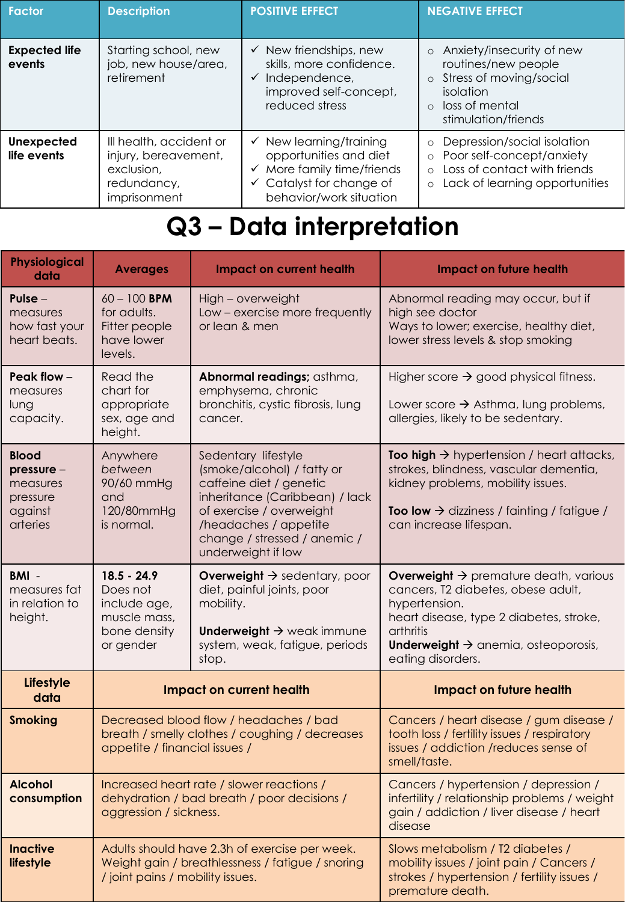| <b>Factor</b>                    | <b>Description</b>                                                                           | <b>POSITIVE EFFECT</b>                                                                                                                                                     | <b>NEGATIVE EFFECT</b>                                                                                                                                                 |
|----------------------------------|----------------------------------------------------------------------------------------------|----------------------------------------------------------------------------------------------------------------------------------------------------------------------------|------------------------------------------------------------------------------------------------------------------------------------------------------------------------|
| <b>Expected life</b><br>events   | Starting school, new<br>job, new house/area,<br>retirement                                   | $\checkmark$ New friendships, new<br>skills, more confidence.<br>Independence,<br>$\checkmark$<br>improved self-concept,<br>reduced stress                                 | Anxiety/insecurity of new<br>$\circ$<br>routines/new people<br>Stress of moving/social<br>$\circ$<br>isolation<br>o loss of mental<br>stimulation/friends              |
| <b>Unexpected</b><br>life events | Ill health, accident or<br>injury, bereavement,<br>exclusion,<br>redundancy,<br>imprisonment | $\checkmark$ New learning/training<br>opportunities and diet<br>More family time/friends<br>$\checkmark$<br>$\checkmark$ Catalyst for change of<br>behavior/work situation | Depression/social isolation<br>$\circ$<br>Poor self-concept/anxiety<br>$\circ$<br>Loss of contact with friends<br>$\circ$<br>Lack of learning opportunities<br>$\circ$ |

## **Q3 – Data interpretation**

| <b>Physiological</b><br>data                                               | <b>Averages</b>                                                                                                           | <b>Impact on current health</b>                                                                                                                                                                                                                 | <b>Impact on future health</b>                                                                                                                                                                                                                              |
|----------------------------------------------------------------------------|---------------------------------------------------------------------------------------------------------------------------|-------------------------------------------------------------------------------------------------------------------------------------------------------------------------------------------------------------------------------------------------|-------------------------------------------------------------------------------------------------------------------------------------------------------------------------------------------------------------------------------------------------------------|
| Pulse $-$<br>measures<br>how fast your<br>heart beats.                     | $60 - 100$ BPM<br>for adults.<br>Fitter people<br>have lower<br>levels.                                                   | High - overweight<br>Low - exercise more frequently<br>or lean & men                                                                                                                                                                            | Abnormal reading may occur, but if<br>high see doctor<br>Ways to lower; exercise, healthy diet,<br>lower stress levels & stop smoking                                                                                                                       |
| Peak flow $-$<br>measures<br>lung<br>capacity.                             | Read the<br>chart for<br>appropriate<br>sex, age and<br>height.                                                           | Abnormal readings; asthma,<br>Higher score $\rightarrow$ good physical fitness.<br>emphysema, chronic<br>bronchitis, cystic fibrosis, lung<br>Lower score $\rightarrow$ Asthma, lung problems,<br>allergies, likely to be sedentary.<br>cancer. |                                                                                                                                                                                                                                                             |
| <b>Blood</b><br>$presure -$<br>measures<br>pressure<br>against<br>arteries | Anywhere<br>between<br>90/60 mmHg<br>and<br>120/80mmHg<br>is normal.                                                      | Sedentary lifestyle<br>(smoke/alcohol) / fatty or<br>caffeine diet / genetic<br>inheritance (Caribbean) / lack<br>of exercise / overweight<br>/headaches / appetite<br>change / stressed / anemic /<br>underweight if low                       | <b>Too high <math>\rightarrow</math></b> hypertension / heart attacks,<br>strokes, blindness, vascular dementia,<br>kidney problems, mobility issues.<br><b>Too low <math>\rightarrow</math></b> dizziness / fainting / fatigue /<br>can increase lifespan. |
| $BM -$<br>measures fat<br>in relation to<br>height.                        | $18.5 - 24.9$<br>Does not<br>include age,<br>muscle mass,<br>bone density<br>or gender                                    | <b>Overweight <math>\rightarrow</math></b> sedentary, poor<br>diet, painful joints, poor<br>mobility.<br>Underweight $\rightarrow$ weak immune<br>system, weak, fatigue, periods<br>stop.                                                       | <b>Overweight <math>\rightarrow</math></b> premature death, various<br>cancers, T2 diabetes, obese adult,<br>hypertension.<br>heart disease, type 2 diabetes, stroke,<br>arthritis<br>Underweight $\rightarrow$ anemia, osteoporosis,<br>eating disorders.  |
| Lifestyle<br>data                                                          |                                                                                                                           | <b>Impact on current health</b>                                                                                                                                                                                                                 | <b>Impact on future health</b>                                                                                                                                                                                                                              |
| <b>Smoking</b>                                                             | Decreased blood flow / headaches / bad<br>breath / smelly clothes / coughing / decreases<br>appetite / financial issues / |                                                                                                                                                                                                                                                 | Cancers / heart disease / gum disease /<br>tooth loss / fertility issues / respiratory<br>issues / addiction / reduces sense of<br>smell/taste.                                                                                                             |
| <b>Alcohol</b><br>consumption                                              | Increased heart rate / slower reactions /<br>dehydration / bad breath / poor decisions /<br>aggression / sickness.        |                                                                                                                                                                                                                                                 | Cancers / hypertension / depression /<br>infertility / relationship problems / weight<br>gain / addiction / liver disease / heart<br>disease                                                                                                                |
| <b>Inactive</b><br>lifestyle                                               | / joint pains / mobility issues.                                                                                          | Adults should have 2.3h of exercise per week.<br>Weight gain / breathlessness / fatigue / snoring                                                                                                                                               | Slows metabolism / T2 diabetes /<br>mobility issues / joint pain / Cancers /<br>strokes / hypertension / fertility issues /<br>premature death.                                                                                                             |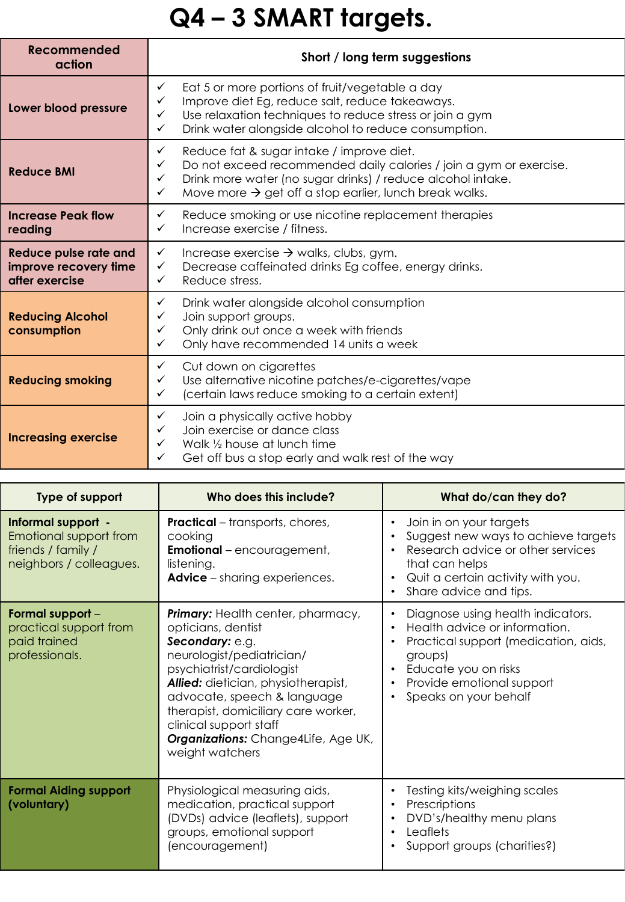# **Q4 – 3 SMART targets.**

| Recommended<br>action                                                   | Short / long term suggestions                                                                                                                                                                                                                                                                             |
|-------------------------------------------------------------------------|-----------------------------------------------------------------------------------------------------------------------------------------------------------------------------------------------------------------------------------------------------------------------------------------------------------|
| Lower blood pressure                                                    | Eat 5 or more portions of fruit/vegetable a day<br>$\checkmark$<br>Improve diet Eg, reduce salt, reduce takeaways.<br>✓<br>Use relaxation techniques to reduce stress or join a gym<br>$\checkmark$<br>Drink water alongside alcohol to reduce consumption.<br>$\checkmark$                               |
| <b>Reduce BMI</b>                                                       | $\checkmark$<br>Reduce fat & sugar intake / improve diet.<br>Do not exceed recommended daily calories / join a gym or exercise.<br>$\checkmark$<br>Drink more water (no sugar drinks) / reduce alcohol intake.<br>✓<br>Move more $\rightarrow$ get off a stop earlier, lunch break walks.<br>$\checkmark$ |
| <b>Increase Peak flow</b><br>reading                                    | Reduce smoking or use nicotine replacement therapies<br>$\checkmark$<br>Increase exercise / fitness.<br>$\checkmark$                                                                                                                                                                                      |
| <b>Reduce pulse rate and</b><br>improve recovery time<br>after exercise | $\checkmark$<br>Increase exercise $\rightarrow$ walks, clubs, gym.<br>Decrease caffeinated drinks Eg coffee, energy drinks.<br>$\checkmark$<br>Reduce stress.<br>$\checkmark$                                                                                                                             |
| <b>Reducing Alcohol</b><br>consumption                                  | $\checkmark$<br>Drink water alongside alcohol consumption<br>Join support groups.<br>✓<br>Only drink out once a week with friends<br>$\checkmark$<br>Only have recommended 14 units a week<br>$\checkmark$                                                                                                |
| <b>Reducing smoking</b>                                                 | $\checkmark$<br>Cut down on cigarettes<br>Use alternative nicotine patches/e-cigarettes/vape<br>✓<br>(certain laws reduce smoking to a certain extent)<br>$\checkmark$                                                                                                                                    |
| <b>Increasing exercise</b>                                              | $\checkmark$<br>Join a physically active hobby<br>Join exercise or dance class<br>$\checkmark$<br>Walk 1/2 house at lunch time<br>✓<br>Get off bus a stop early and walk rest of the way<br>✓                                                                                                             |

| Type of support                                                                               | Who does this include?                                                                                                                                                                                                                                                                                                                       | What do/can they do?                                                                                                                                                                                |
|-----------------------------------------------------------------------------------------------|----------------------------------------------------------------------------------------------------------------------------------------------------------------------------------------------------------------------------------------------------------------------------------------------------------------------------------------------|-----------------------------------------------------------------------------------------------------------------------------------------------------------------------------------------------------|
| Informal support -<br>Emotional support from<br>friends / family /<br>neighbors / colleagues. | <b>Practical</b> – transports, chores,<br>cooking<br><b>Emotional</b> – encouragement,<br>listening.<br><b>Advice</b> – sharing experiences.                                                                                                                                                                                                 | Join in on your targets<br>Suggest new ways to achieve targets<br>Research advice or other services<br>that can helps<br>Quit a certain activity with you.<br>Share advice and tips.                |
| Formal support -<br>practical support from<br>paid trained<br>professionals.                  | <b>Primary:</b> Health center, pharmacy,<br>opticians, dentist<br>Secondary: e.g.<br>neurologist/pediatrician/<br>psychiatrist/cardiologist<br>Allied: dietician, physiotherapist,<br>advocate, speech & language<br>therapist, domiciliary care worker,<br>clinical support staff<br>Organizations: Change4Life, Age UK,<br>weight watchers | Diagnose using health indicators.<br>Health advice or information.<br>Practical support (medication, aids,<br>groups)<br>Educate you on risks<br>Provide emotional support<br>Speaks on your behalf |
| <b>Formal Aiding support</b><br>(voluntary)                                                   | Physiological measuring aids,<br>medication, practical support<br>(DVDs) advice (leaflets), support<br>groups, emotional support<br>(encouragement)                                                                                                                                                                                          | Testing kits/weighing scales<br>Prescriptions<br>DVD's/healthy menu plans<br>Leaflets<br>Support groups (charities?)                                                                                |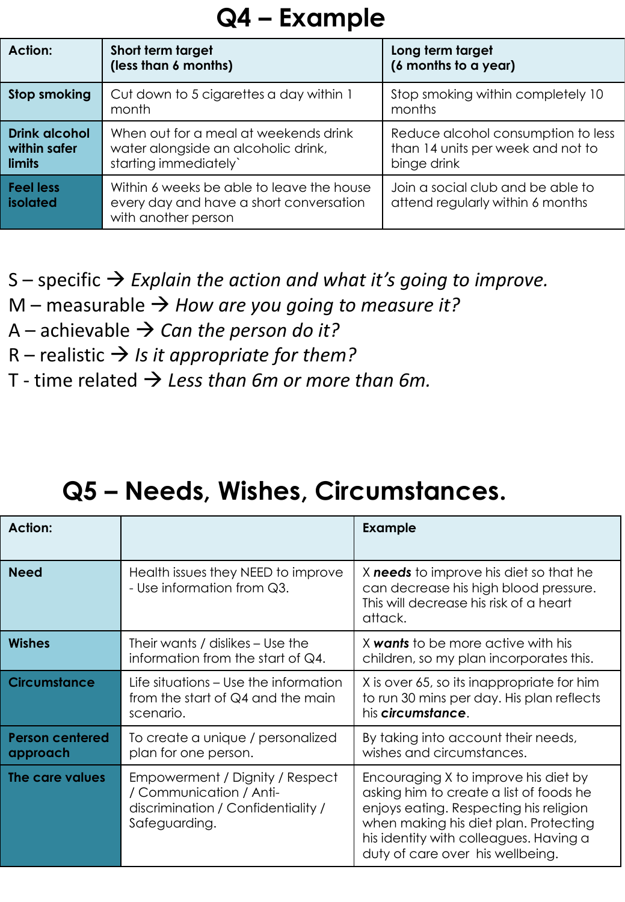### **Q4 – Example**

| Action:                                               | Short term target<br>(less than 6 months)                                                                   | Long term target<br>(6 months to a year)                                               |
|-------------------------------------------------------|-------------------------------------------------------------------------------------------------------------|----------------------------------------------------------------------------------------|
| Stop smoking                                          | Cut down to 5 cigarettes a day within 1<br>month                                                            | Stop smoking within completely 10<br>months                                            |
| <b>Drink alcohol</b><br>within safer<br><b>limits</b> | When out for a meal at weekends drink<br>water alongside an alcoholic drink,<br>starting immediately'       | Reduce alcohol consumption to less<br>than 14 units per week and not to<br>binge drink |
| <b>Feel less</b><br><b>isolated</b>                   | Within 6 weeks be able to leave the house<br>every day and have a short conversation<br>with another person | Join a social club and be able to<br>attend regularly within 6 months                  |

S – specific → *Explain the action and what it's going to improve.* 

- $M$  measurable  $\rightarrow$  *How are you going to measure it?*
- A achievable → *Can the person do it?*
- $R$  realistic  $\rightarrow$  *Is it appropriate for them?*
- T time related → *Less than 6m or more than 6m.*

### **Q5 – Needs, Wishes, Circumstances.**

| <b>Action:</b>                     |                                                                                                                   | <b>Example</b>                                                                                                                                                                                                                                   |
|------------------------------------|-------------------------------------------------------------------------------------------------------------------|--------------------------------------------------------------------------------------------------------------------------------------------------------------------------------------------------------------------------------------------------|
| <b>Need</b>                        | Health issues they NEED to improve<br>- Use information from Q3.                                                  | X needs to improve his diet so that he<br>can decrease his high blood pressure.<br>This will decrease his risk of a heart<br>attack.                                                                                                             |
| <b>Wishes</b>                      | Their wants / dislikes – Use the<br>information from the start of $Q4$ .                                          | X <b>wants</b> to be more active with his<br>children, so my plan incorporates this.                                                                                                                                                             |
| <b>Circumstance</b>                | Life situations - Use the information<br>from the start of Q4 and the main<br>scenario.                           | X is over 65, so its inappropriate for him<br>to run 30 mins per day. His plan reflects<br>his <i>circumstance</i> .                                                                                                                             |
| <b>Person centered</b><br>approach | To create a unique / personalized<br>plan for one person.                                                         | By taking into account their needs,<br>wishes and circumstances.                                                                                                                                                                                 |
| The care values                    | Empowerment / Dignity / Respect<br>/ Communication / Anti-<br>discrimination / Confidentiality /<br>Safeguarding. | Encouraging X to improve his diet by<br>asking him to create a list of foods he<br>enjoys eating. Respecting his religion<br>when making his diet plan. Protecting<br>his identity with colleagues. Having a<br>duty of care over his wellbeing. |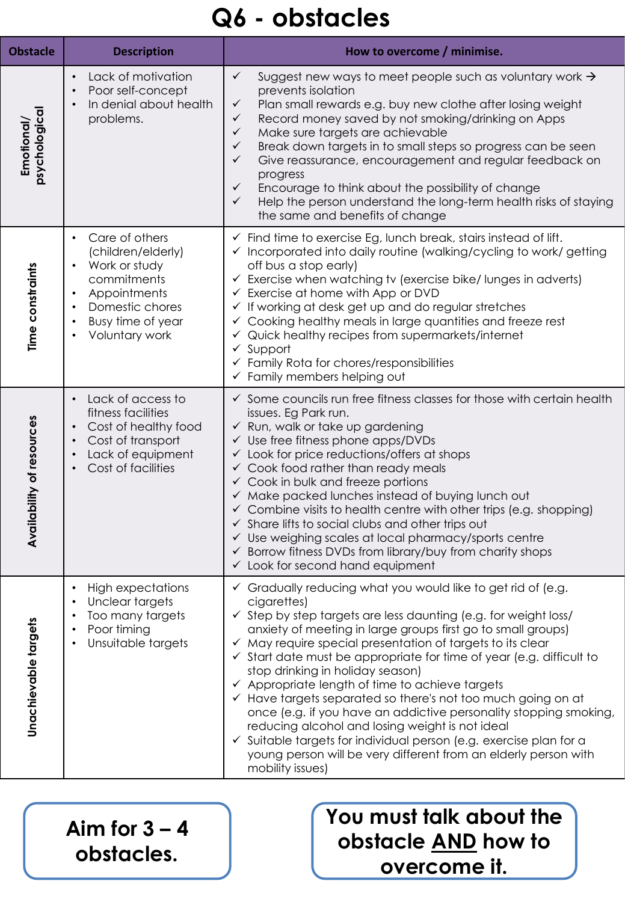## **Q6 - obstacles**

| <b>Obstacle</b>            | <b>Description</b>                                                                                                                                                                                              | How to overcome / minimise.                                                                                                                                                                                                                                                                                                                                                                                                                                                                                                                                                                                                                                                                                                                                                                                                                             |
|----------------------------|-----------------------------------------------------------------------------------------------------------------------------------------------------------------------------------------------------------------|---------------------------------------------------------------------------------------------------------------------------------------------------------------------------------------------------------------------------------------------------------------------------------------------------------------------------------------------------------------------------------------------------------------------------------------------------------------------------------------------------------------------------------------------------------------------------------------------------------------------------------------------------------------------------------------------------------------------------------------------------------------------------------------------------------------------------------------------------------|
| psychological<br>Emotional | Lack of motivation<br>$\bullet$<br>Poor self-concept<br>In denial about health<br>problems.                                                                                                                     | $\checkmark$<br>Suggest new ways to meet people such as voluntary work $\rightarrow$<br>prevents isolation<br>Plan small rewards e.g. buy new clothe after losing weight<br>$\checkmark$<br>Record money saved by not smoking/drinking on Apps<br>$\checkmark$<br>$\checkmark$<br>Make sure targets are achievable<br>Break down targets in to small steps so progress can be seen<br>$\checkmark$<br>Give reassurance, encouragement and regular feedback on<br>$\checkmark$<br>progress<br>Encourage to think about the possibility of change<br>$\checkmark$<br>$\checkmark$<br>Help the person understand the long-term health risks of staying<br>the same and benefits of change                                                                                                                                                                  |
| Time constraints           | Care of others<br>$\bullet$<br>(children/elderly)<br>Work or study<br>$\bullet$<br>commitments<br>Appointments<br>$\bullet$<br>Domestic chores<br>$\bullet$<br>Busy time of year<br>$\bullet$<br>Voluntary work | $\checkmark$ Find time to exercise Eg, lunch break, stairs instead of lift.<br>✓ Incorporated into daily routine (walking/cycling to work/ getting<br>off bus a stop early)<br>$\checkmark$ Exercise when watching tv (exercise bike/lunges in adverts)<br>$\checkmark$ Exercise at home with App or DVD<br>If working at desk get up and do regular stretches<br>$\checkmark$<br>Cooking healthy meals in large quantities and freeze rest<br>Quick healthy recipes from supermarkets/internet<br>Support<br>$\checkmark$<br>$\checkmark$ Family Rota for chores/responsibilities<br>$\checkmark$ Family members helping out                                                                                                                                                                                                                           |
| Availability of resources  | Lack of access to<br>fitness facilities<br>Cost of healthy food<br>$\bullet$<br>Cost of transport<br>$\bullet$<br>Lack of equipment<br>$\bullet$<br>Cost of facilities                                          | $\checkmark$ Some councils run free fitness classes for those with certain health<br>issues. Eg Park run.<br>← Run, walk or take up gardening<br>$\checkmark$ Use free fitness phone apps/DVDs<br>$\checkmark$ Look for price reductions/offers at shops<br>$\checkmark$ Cook food rather than ready meals<br>$\checkmark$ Cook in bulk and freeze portions<br>√ Make packed lunches instead of buying lunch out<br>$\checkmark$ Combine visits to health centre with other trips (e.g. shopping)<br>$\checkmark$ Share lifts to social clubs and other trips out<br>$\checkmark$ Use weighing scales at local pharmacy/sports centre<br>✔ Borrow fitness DVDs from library/buy from charity shops<br>$\checkmark$ Look for second hand equipment                                                                                                       |
| Unachievable targets       | <b>High expectations</b><br>Unclear targets<br>Too many targets<br>Poor timing<br>Unsuitable targets                                                                                                            | ✓ Gradually reducing what you would like to get rid of (e.g.<br>cigarettes)<br>$\checkmark$ Step by step targets are less daunting (e.g. for weight loss/<br>anxiety of meeting in large groups first go to small groups)<br>$\checkmark$ May require special presentation of targets to its clear<br>$\checkmark$ Start date must be appropriate for time of year (e.g. difficult to<br>stop drinking in holiday season)<br>$\checkmark$ Appropriate length of time to achieve targets<br>← Have targets separated so there's not too much going on at<br>once (e.g. if you have an addictive personality stopping smoking,<br>reducing alcohol and losing weight is not ideal<br>$\checkmark$ Suitable targets for individual person (e.g. exercise plan for a<br>young person will be very different from an elderly person with<br>mobility issues) |

Aim for  $3 - 4$ **obstacles.** 

#### **You must talk about the obstacle AND how to overcome it.**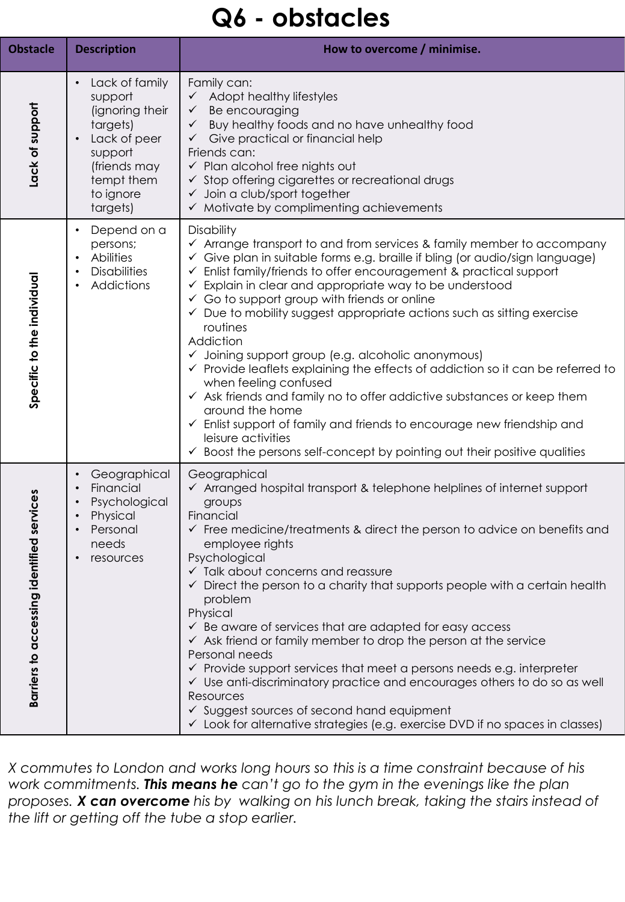### **Q6 - obstacles**

| <b>Obstacle</b>                                | <b>Description</b>                                                                                                                                                   | How to overcome / minimise.                                                                                                                                                                                                                                                                                                                                                                                                                                                                                                                                                                                                                                                                                                                                                                                                                                                                                                                                                      |
|------------------------------------------------|----------------------------------------------------------------------------------------------------------------------------------------------------------------------|----------------------------------------------------------------------------------------------------------------------------------------------------------------------------------------------------------------------------------------------------------------------------------------------------------------------------------------------------------------------------------------------------------------------------------------------------------------------------------------------------------------------------------------------------------------------------------------------------------------------------------------------------------------------------------------------------------------------------------------------------------------------------------------------------------------------------------------------------------------------------------------------------------------------------------------------------------------------------------|
| Lack of support                                | Lack of family<br>$\bullet$<br>support<br>(ignoring their<br>targets)<br>Lack of peer<br>$\bullet$<br>support<br>(friends may<br>tempt them<br>to ignore<br>targets) | Family can:<br>$\checkmark$ Adopt healthy lifestyles<br>$\checkmark$ Be encouraging<br>$\checkmark$ Buy healthy foods and no have unhealthy food<br>Give practical or financial help<br>$\checkmark$<br>Friends can:<br>$\checkmark$ Plan alcohol free nights out<br>$\checkmark$ Stop offering cigarettes or recreational drugs<br>$\checkmark$ Join a club/sport together<br>$\checkmark$ Motivate by complimenting achievements                                                                                                                                                                                                                                                                                                                                                                                                                                                                                                                                               |
| Specific to the individual                     | Depend on a<br>$\bullet$<br>persons;<br><b>Abilities</b><br>$\bullet$<br><b>Disabilities</b><br>٠<br>Addictions                                                      | Disability<br>√ Arrange transport to and from services & family member to accompany<br>✓ Give plan in suitable forms e.g. braille if bling (or audio/sign language)<br>$\checkmark$ Enlist family/friends to offer encouragement & practical support<br>$\checkmark$ Explain in clear and appropriate way to be understood<br>$\checkmark$ Go to support group with friends or online<br>$\checkmark$ Due to mobility suggest appropriate actions such as sitting exercise<br>routines<br>Addiction<br>√ Joining support group (e.g. alcoholic anonymous)<br>$\checkmark$ Provide leaflets explaining the effects of addiction so it can be referred to<br>when feeling confused<br>$\checkmark$ Ask friends and family no to offer addictive substances or keep them<br>around the home<br>← Enlist support of family and friends to encourage new friendship and<br>leisure activities<br>$\checkmark$ Boost the persons self-concept by pointing out their positive qualities |
| fied services<br>Barriers to accessing identit | Geographical<br>٠<br>Financial<br>٠<br>Psychological<br>$\bullet$<br>Physical<br>$\bullet$<br>Personal<br>needs<br>resources                                         | Geographical<br>$\checkmark$ Arranged hospital transport & telephone helplines of internet support<br>groups<br>Financial<br>$\checkmark$ Free medicine/treatments & direct the person to advice on benefits and<br>employee rights<br>Psychological<br>$\checkmark$ Talk about concerns and reassure<br>$\checkmark$ Direct the person to a charity that supports people with a certain health<br>problem<br>Physical<br>$\checkmark$ Be aware of services that are adapted for easy access<br>$\checkmark$ Ask friend or family member to drop the person at the service<br>Personal needs<br>$\checkmark$ Provide support services that meet a persons needs e.g. interpreter<br>$\checkmark$ Use anti-discriminatory practice and encourages others to do so as well<br>Resources<br>$\checkmark$ Suggest sources of second hand equipment<br>$\checkmark$ Look for alternative strategies (e.g. exercise DVD if no spaces in classes)                                       |

*X commutes to London and works long hours so this is a time constraint because of his work commitments. This means he can't go to the gym in the evenings like the plan proposes. X can overcome his by walking on his lunch break, taking the stairs instead of the lift or getting off the tube a stop earlier.*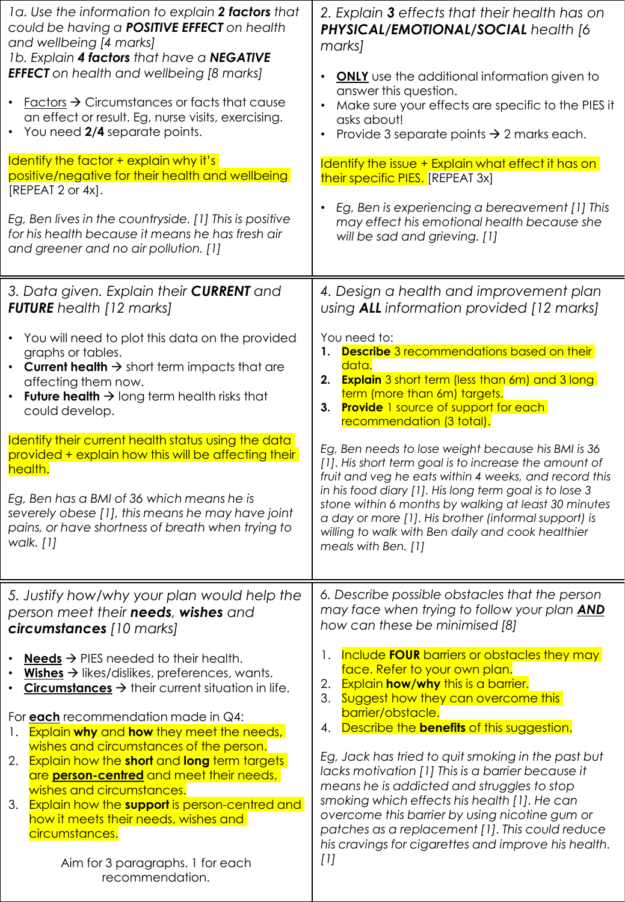| 1a. Use the information to explain 2 factors that<br>could be having a <b>POSITIVE EFFECT</b> on health<br>and wellbeing [4 marks]<br>1b. Explain 4 factors that have a NEGATIVE<br><b>EFFECT</b> on health and wellbeing [8 marks]<br>• <b>Factors <math>\rightarrow</math> Circumstances or facts that cause</b><br>an effect or result. Eg, nurse visits, exercising.<br>• You need 2/4 separate points.<br>Identify the factor + explain why it's<br>positive/negative for their health and wellbeing<br>[REPEAT 2 or 4x].<br>Eg, Ben lives in the countryside. [1] This is positive<br>for his health because it means he has fresh air<br>and greener and no air pollution. [1]                                                                          | 2. Explain <b>3</b> effects that their health has on<br>PHYSICAL/EMOTIONAL/SOCIAL health [6<br>marks]<br><b>ONLY</b> use the additional information given to<br>answer this question.<br>Make sure your effects are specific to the PIES it<br>asks about!<br>Provide 3 separate points $\rightarrow$ 2 marks each.<br>Identify the issue + Explain what effect it has on<br>their specific PIES. [REPEAT 3x]<br>Eg, Ben is experiencing a bereavement [1] This<br>may effect his emotional health because she<br>will be sad and grieving. [1]                                                                                                                                                                                                                                               |
|----------------------------------------------------------------------------------------------------------------------------------------------------------------------------------------------------------------------------------------------------------------------------------------------------------------------------------------------------------------------------------------------------------------------------------------------------------------------------------------------------------------------------------------------------------------------------------------------------------------------------------------------------------------------------------------------------------------------------------------------------------------|-----------------------------------------------------------------------------------------------------------------------------------------------------------------------------------------------------------------------------------------------------------------------------------------------------------------------------------------------------------------------------------------------------------------------------------------------------------------------------------------------------------------------------------------------------------------------------------------------------------------------------------------------------------------------------------------------------------------------------------------------------------------------------------------------|
| 3. Data given. Explain their <b>CURRENT</b> and<br><b>FUTURE</b> health [12 marks]<br>• You will need to plot this data on the provided<br>graphs or tables.<br><b>Current health <math>\rightarrow</math></b> short term impacts that are<br>$\bullet$<br>affecting them now.<br><b>Future health <math>\rightarrow</math></b> long term health risks that<br>$\bullet$<br>could develop.<br>Identify their current health status using the data<br>provided + explain how this will be affecting their<br>health.<br>Eg, Ben has a BMI of 36 which means he is<br>severely obese [1], this means he may have joint<br>pains, or have shortness of breath when trying to<br>walk. [1]                                                                         | 4. Design a health and improvement plan<br>using <b>ALL</b> information provided [12 marks]<br>You need to:<br>1. Describe 3 recommendations based on their<br>data.<br>2. Explain 3 short term (less than 6m) and 3 long<br>term (more than 6m) targets.<br>3. Provide 1 source of support for each<br>recommendation (3 total).<br>Eg, Ben needs to lose weight because his BMI is 36<br>[1]. His short term goal is to increase the amount of<br>fruit and veg he eats within 4 weeks, and record this<br>in his food diary [1]. His long term goal is to lose 3<br>stone within 6 months by walking at least 30 minutes<br>a day or more [1]. His brother (informal support) is<br>willing to walk with Ben daily and cook healthier<br>meals with Ben. [1]                               |
| 5. Justify how/why your plan would help the<br>person meet their <b>needs</b> , wishes and<br>circumstances [10 marks]<br>$Needs \rightarrow PIES needed to their health.$<br>Wishes $\rightarrow$ likes/dislikes, preferences, wants.<br>Circumstances $\rightarrow$ their current situation in life.<br>For each recommendation made in $Q4$ :<br>Explain why and how they meet the needs,<br>$\mathbf{L}$<br>wishes and circumstances of the person.<br>2. Explain how the short and long term targets<br>are <b>person-centred</b> and meet their needs,<br>wishes and circumstances.<br>3. Explain how the support is person-centred and<br>how it meets their needs, wishes and<br>circumstances.<br>Aim for 3 paragraphs. 1 for each<br>recommendation. | 6. Describe possible obstacles that the person<br>may face when trying to follow your plan <b>AND</b><br>how can these be minimised [8]<br>Include <b>FOUR</b> barriers or obstacles they may<br>Ι.<br>face. Refer to your own plan.<br><b>Explain how/why</b> this is a barrier.<br>2.<br>3. Suggest how they can overcome this<br>barrier/obstacle.<br>Describe the <b>benefits</b> of this suggestion.<br>4.<br>Eg, Jack has tried to quit smoking in the past but<br>lacks motivation [1] This is a barrier because it<br>means he is addicted and struggles to stop<br>smoking which effects his health [1]. He can<br>overcome this barrier by using nicotine gum or<br>patches as a replacement [1]. This could reduce<br>his cravings for cigarettes and improve his health.<br>$[1]$ |